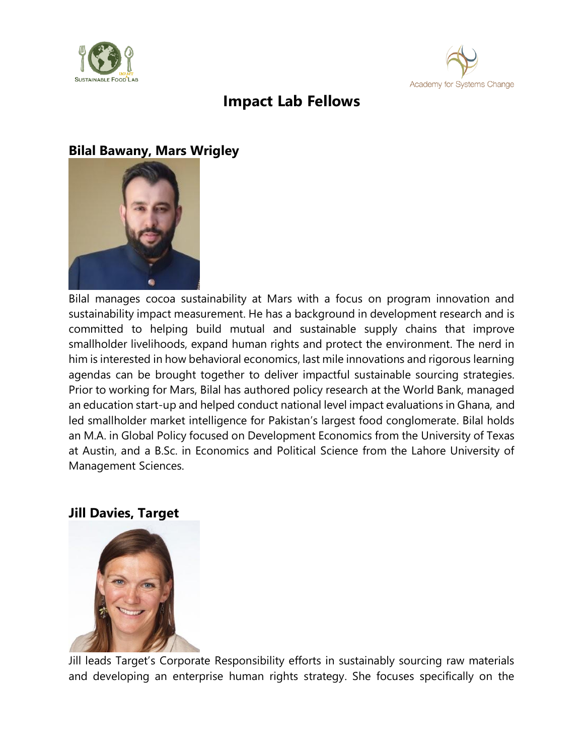



# **Impact Lab Fellows**

## **Bilal Bawany, Mars Wrigley**



Bilal manages cocoa sustainability at Mars with a focus on program innovation and sustainability impact measurement. He has a background in development research and is committed to helping build mutual and sustainable supply chains that improve smallholder livelihoods, expand human rights and protect the environment. The nerd in him is interested in how behavioral economics, last mile innovations and rigorous learning agendas can be brought together to deliver impactful sustainable sourcing strategies. Prior to working for Mars, Bilal has authored policy research at the World Bank, managed an education start-up and helped conduct national level impact evaluations in Ghana, and led smallholder market intelligence for Pakistan's largest food conglomerate. Bilal holds an M.A. in Global Policy focused on Development Economics from the University of Texas at Austin, and a B.Sc. in Economics and Political Science from the Lahore University of Management Sciences.

#### **Jill Davies, Target**



Jill leads Target's Corporate Responsibility efforts in sustainably sourcing raw materials and developing an enterprise human rights strategy. She focuses specifically on the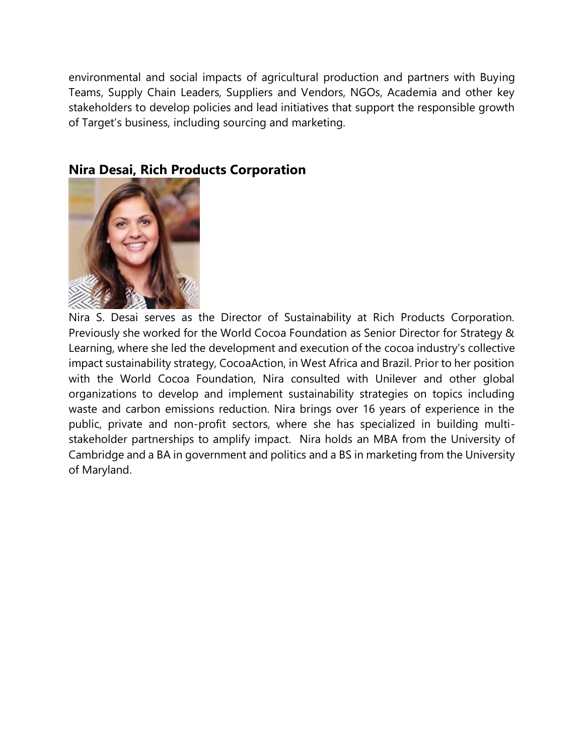environmental and social impacts of agricultural production and partners with Buying Teams, Supply Chain Leaders, Suppliers and Vendors, NGOs, Academia and other key stakeholders to develop policies and lead initiatives that support the responsible growth of Target's business, including sourcing and marketing.



#### **Nira Desai, Rich Products Corporation**

Nira S. Desai serves as the Director of Sustainability at Rich Products Corporation. Previously she worked for the World Cocoa Foundation as Senior Director for Strategy & Learning, where she led the development and execution of the cocoa industry's collective impact sustainability strategy, CocoaAction, in West Africa and Brazil. Prior to her position with the World Cocoa Foundation, Nira consulted with Unilever and other global organizations to develop and implement sustainability strategies on topics including waste and carbon emissions reduction. Nira brings over 16 years of experience in the public, private and non-profit sectors, where she has specialized in building multistakeholder partnerships to amplify impact. Nira holds an MBA from the University of Cambridge and a BA in government and politics and a BS in marketing from the University of Maryland.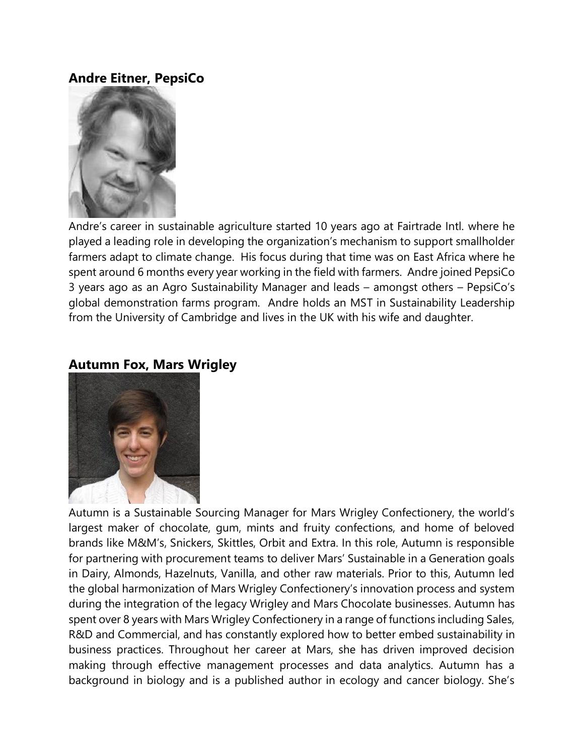## **Andre Eitner, PepsiCo**



Andre's career in sustainable agriculture started 10 years ago at Fairtrade Intl. where he played a leading role in developing the organization's mechanism to support smallholder farmers adapt to climate change. His focus during that time was on East Africa where he spent around 6 months every year working in the field with farmers. Andre joined PepsiCo 3 years ago as an Agro Sustainability Manager and leads – amongst others – PepsiCo's global demonstration farms program. Andre holds an MST in Sustainability Leadership from the University of Cambridge and lives in the UK with his wife and daughter.

#### **Autumn Fox, Mars Wrigley**



Autumn is a Sustainable Sourcing Manager for Mars Wrigley Confectionery, the world's largest maker of chocolate, gum, mints and fruity confections, and home of beloved brands like M&M's, Snickers, Skittles, Orbit and Extra. In this role, Autumn is responsible for partnering with procurement teams to deliver Mars' Sustainable in a Generation goals in Dairy, Almonds, Hazelnuts, Vanilla, and other raw materials. Prior to this, Autumn led the global harmonization of Mars Wrigley Confectionery's innovation process and system during the integration of the legacy Wrigley and Mars Chocolate businesses. Autumn has spent over 8 years with Mars Wrigley Confectionery in a range of functions including Sales, R&D and Commercial, and has constantly explored how to better embed sustainability in business practices. Throughout her career at Mars, she has driven improved decision making through effective management processes and data analytics. Autumn has a background in biology and is a published author in ecology and cancer biology. She's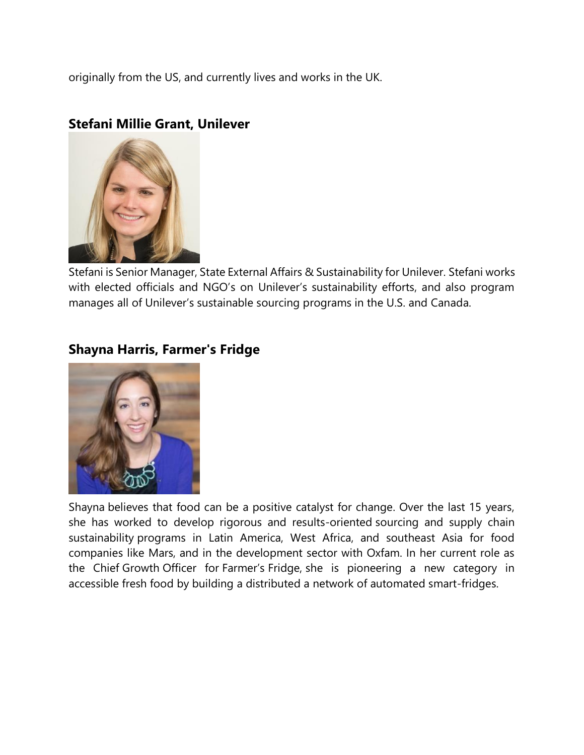originally from the US, and currently lives and works in the UK.

#### **Stefani Millie Grant, Unilever**



Stefani is Senior Manager, State External Affairs & Sustainability for Unilever. Stefani works with elected officials and NGO's on Unilever's sustainability efforts, and also program manages all of Unilever's sustainable sourcing programs in the U.S. and Canada.

## **Shayna Harris, Farmer's Fridge**



Shayna believes that food can be a positive catalyst for change. Over the last 15 years, she has worked to develop rigorous and results-oriented sourcing and supply chain sustainability programs in Latin America, West Africa, and southeast Asia for food companies like Mars, and in the development sector with Oxfam. In her current role as the Chief Growth Officer for Farmer's Fridge, she is pioneering a new category in accessible fresh food by building a distributed a network of automated smart-fridges.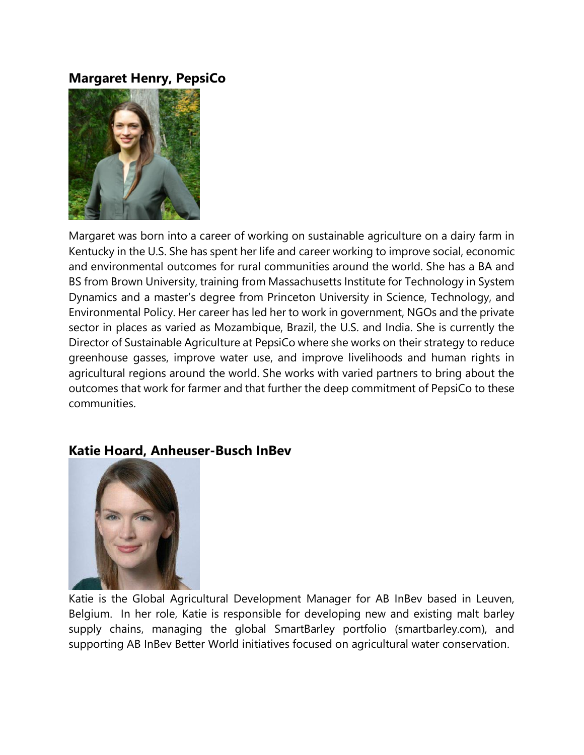#### **Margaret Henry, PepsiCo**



Margaret was born into a career of working on sustainable agriculture on a dairy farm in Kentucky in the U.S. She has spent her life and career working to improve social, economic and environmental outcomes for rural communities around the world. She has a BA and BS from Brown University, training from Massachusetts Institute for Technology in System Dynamics and a master's degree from Princeton University in Science, Technology, and Environmental Policy. Her career has led her to work in government, NGOs and the private sector in places as varied as Mozambique, Brazil, the U.S. and India. She is currently the Director of Sustainable Agriculture at PepsiCo where she works on their strategy to reduce greenhouse gasses, improve water use, and improve livelihoods and human rights in agricultural regions around the world. She works with varied partners to bring about the outcomes that work for farmer and that further the deep commitment of PepsiCo to these communities.

#### **Katie Hoard, Anheuser-Busch InBev**



Katie is the Global Agricultural Development Manager for AB InBev based in Leuven, Belgium. In her role, Katie is responsible for developing new and existing malt barley supply chains, managing the global SmartBarley portfolio (smartbarley.com), and supporting AB InBev Better World initiatives focused on agricultural water conservation.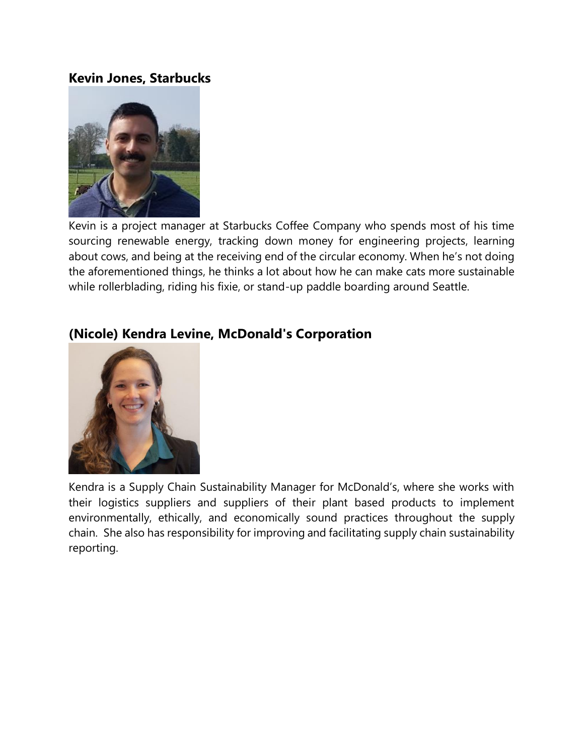#### **Kevin Jones, Starbucks**



Kevin is a project manager at Starbucks Coffee Company who spends most of his time sourcing renewable energy, tracking down money for engineering projects, learning about cows, and being at the receiving end of the circular economy. When he's not doing the aforementioned things, he thinks a lot about how he can make cats more sustainable while rollerblading, riding his fixie, or stand-up paddle boarding around Seattle.

## **(Nicole) Kendra Levine, McDonald's Corporation**

Kendra is a Supply Chain Sustainability Manager for McDonald's, where she works with their logistics suppliers and suppliers of their plant based products to implement environmentally, ethically, and economically sound practices throughout the supply chain. She also has responsibility for improving and facilitating supply chain sustainability reporting.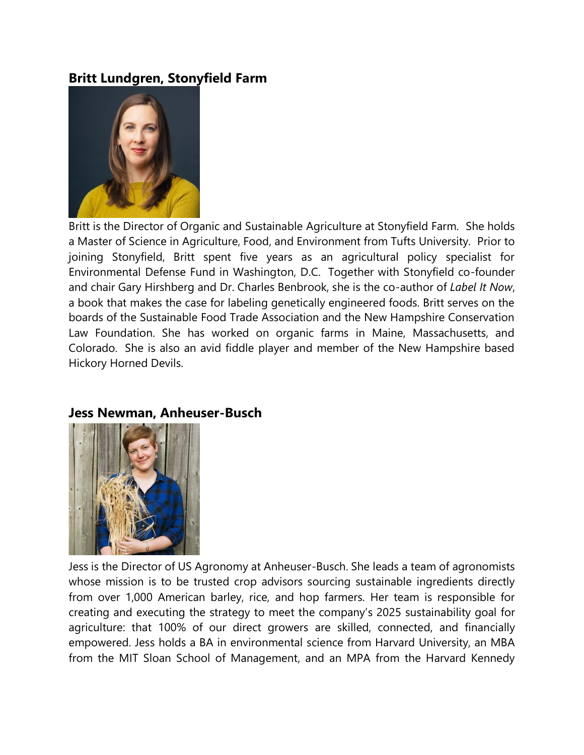## **Britt Lundgren, Stonyfield Farm**



Britt is the Director of Organic and Sustainable Agriculture at Stonyfield Farm. She holds a Master of Science in Agriculture, Food, and Environment from Tufts University. Prior to joining Stonyfield, Britt spent five years as an agricultural policy specialist for Environmental Defense Fund in Washington, D.C. Together with Stonyfield co-founder and chair Gary Hirshberg and Dr. Charles Benbrook, she is the co-author of *Label It Now*, a book that makes the case for labeling genetically engineered foods. Britt serves on the boards of the Sustainable Food Trade Association and the New Hampshire Conservation Law Foundation. She has worked on organic farms in Maine, Massachusetts, and Colorado. She is also an avid fiddle player and member of the New Hampshire based Hickory Horned Devils.



#### **Jess Newman, Anheuser-Busch**

Jess is the Director of US Agronomy at Anheuser-Busch. She leads a team of agronomists whose mission is to be trusted crop advisors sourcing sustainable ingredients directly from over 1,000 American barley, rice, and hop farmers. Her team is responsible for creating and executing the strategy to meet the company's 2025 sustainability goal for agriculture: that 100% of our direct growers are skilled, connected, and financially empowered. Jess holds a BA in environmental science from Harvard University, an MBA from the MIT Sloan School of Management, and an MPA from the Harvard Kennedy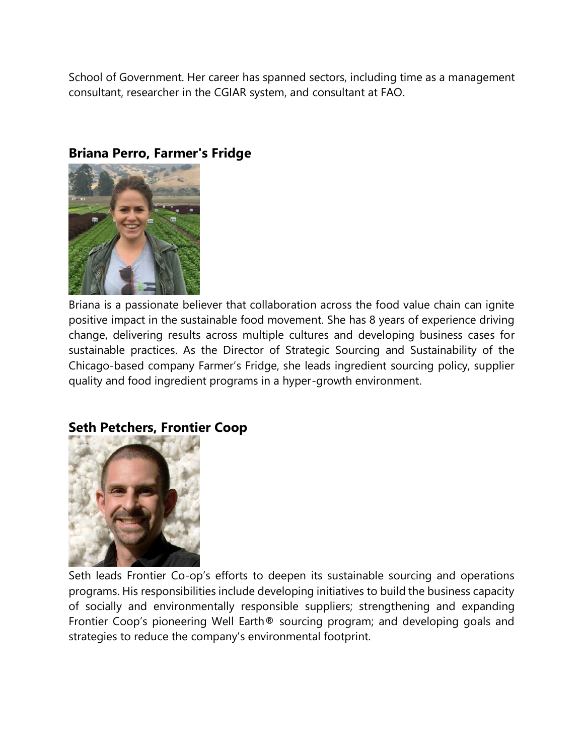School of Government. Her career has spanned sectors, including time as a management consultant, researcher in the CGIAR system, and consultant at FAO.



## **Briana Perro, Farmer's Fridge**

Briana is a passionate believer that collaboration across the food value chain can ignite positive impact in the sustainable food movement. She has 8 years of experience driving change, delivering results across multiple cultures and developing business cases for sustainable practices. As the Director of Strategic Sourcing and Sustainability of the Chicago-based company Farmer's Fridge, she leads ingredient sourcing policy, supplier quality and food ingredient programs in a hyper-growth environment.

#### **Seth Petchers, Frontier Coop**



Seth leads Frontier Co-op's efforts to deepen its sustainable sourcing and operations programs. His responsibilities include developing initiatives to build the business capacity of socially and environmentally responsible suppliers; strengthening and expanding Frontier Coop's pioneering Well Earth® sourcing program; and developing goals and strategies to reduce the company's environmental footprint.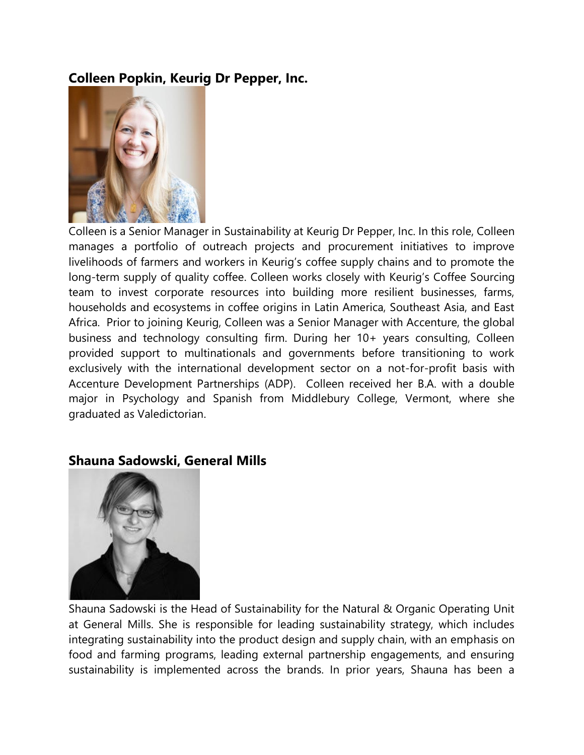## **Colleen Popkin, Keurig Dr Pepper, Inc.**



Colleen is a Senior Manager in Sustainability at Keurig Dr Pepper, Inc. In this role, Colleen manages a portfolio of outreach projects and procurement initiatives to improve livelihoods of farmers and workers in Keurig's coffee supply chains and to promote the long-term supply of quality coffee. Colleen works closely with Keurig's Coffee Sourcing team to invest corporate resources into building more resilient businesses, farms, households and ecosystems in coffee origins in Latin America, Southeast Asia, and East Africa. Prior to joining Keurig, Colleen was a Senior Manager with Accenture, the global business and technology consulting firm. During her 10+ years consulting, Colleen provided support to multinationals and governments before transitioning to work exclusively with the international development sector on a not-for-profit basis with Accenture Development Partnerships (ADP). Colleen received her B.A. with a double major in Psychology and Spanish from Middlebury College, Vermont, where she graduated as Valedictorian.

#### **Shauna Sadowski, General Mills**



Shauna Sadowski is the Head of Sustainability for the Natural & Organic Operating Unit at General Mills. She is responsible for leading sustainability strategy, which includes integrating sustainability into the product design and supply chain, with an emphasis on food and farming programs, leading external partnership engagements, and ensuring sustainability is implemented across the brands. In prior years, Shauna has been a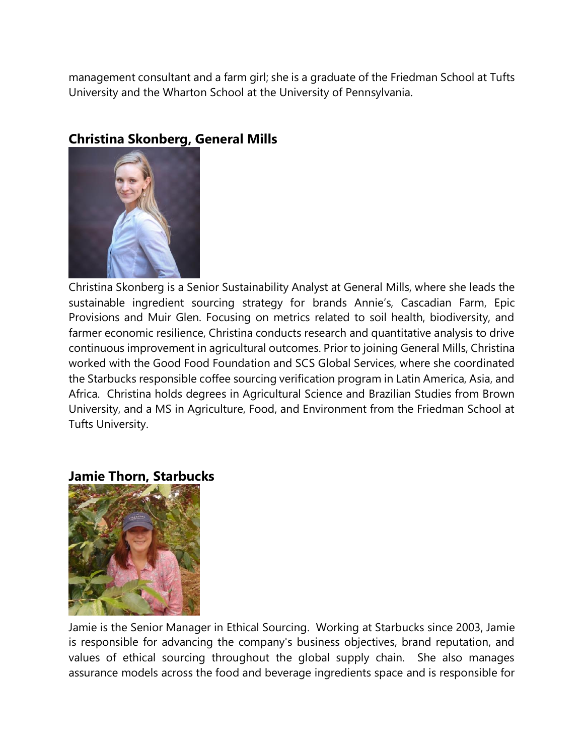management consultant and a farm girl; she is a graduate of the Friedman School at Tufts University and the Wharton School at the University of Pennsylvania.



## **Christina Skonberg, General Mills**

Christina Skonberg is a Senior Sustainability Analyst at General Mills, where she leads the sustainable ingredient sourcing strategy for brands Annie's, Cascadian Farm, Epic Provisions and Muir Glen. Focusing on metrics related to soil health, biodiversity, and farmer economic resilience, Christina conducts research and quantitative analysis to drive continuous improvement in agricultural outcomes. Prior to joining General Mills, Christina worked with the Good Food Foundation and SCS Global Services, where she coordinated the Starbucks responsible coffee sourcing verification program in Latin America, Asia, and Africa. Christina holds degrees in Agricultural Science and Brazilian Studies from Brown University, and a MS in Agriculture, Food, and Environment from the Friedman School at Tufts University.

#### **Jamie Thorn, Starbucks**



Jamie is the Senior Manager in Ethical Sourcing. Working at Starbucks since 2003, Jamie is responsible for advancing the company's business objectives, brand reputation, and values of ethical sourcing throughout the global supply chain. She also manages assurance models across the food and beverage ingredients space and is responsible for